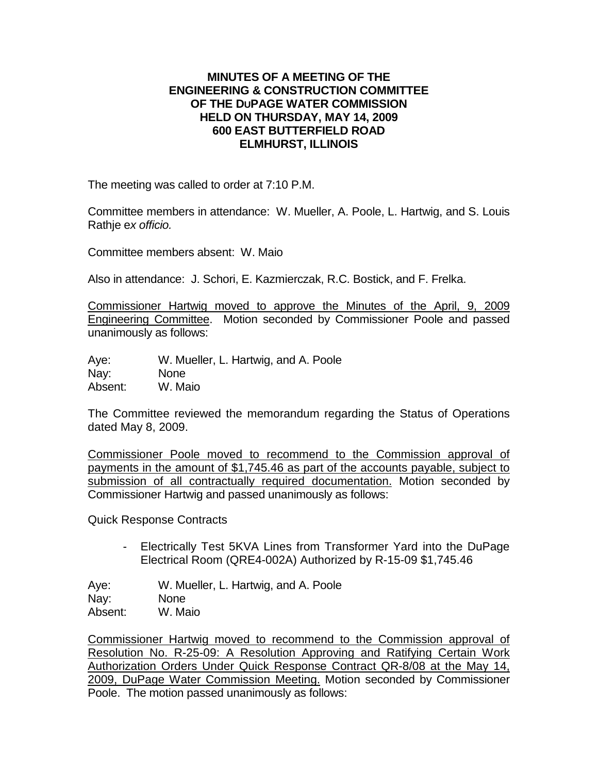## **MINUTES OF A MEETING OF THE ENGINEERING & CONSTRUCTION COMMITTEE OF THE DUPAGE WATER COMMISSION HELD ON THURSDAY, MAY 14, 2009 600 EAST BUTTERFIELD ROAD ELMHURST, ILLINOIS**

The meeting was called to order at 7:10 P.M.

Committee members in attendance: W. Mueller, A. Poole, L. Hartwig, and S. Louis Rathje e*x officio.*

Committee members absent: W. Maio

Also in attendance: J. Schori, E. Kazmierczak, R.C. Bostick, and F. Frelka.

Commissioner Hartwig moved to approve the Minutes of the April, 9, 2009 Engineering Committee. Motion seconded by Commissioner Poole and passed unanimously as follows:

Aye: W. Mueller, L. Hartwig, and A. Poole Nay: None<br>Absent: W. Maio Absent:

The Committee reviewed the memorandum regarding the Status of Operations dated May 8, 2009.

Commissioner Poole moved to recommend to the Commission approval of payments in the amount of \$1,745.46 as part of the accounts payable, subject to submission of all contractually required documentation. Motion seconded by Commissioner Hartwig and passed unanimously as follows:

Quick Response Contracts

Electrically Test 5KVA Lines from Transformer Yard into the DuPage Electrical Room (QRE4-002A) Authorized by R-15-09 \$1,745.46

Aye: W. Mueller, L. Hartwig, and A. Poole Nay: None Absent: W. Maio

Commissioner Hartwig moved to recommend to the Commission approval of Resolution No. R-25-09: A Resolution Approving and Ratifying Certain Work Authorization Orders Under Quick Response Contract QR-8/08 at the May 14, 2009, DuPage Water Commission Meeting. Motion seconded by Commissioner Poole. The motion passed unanimously as follows: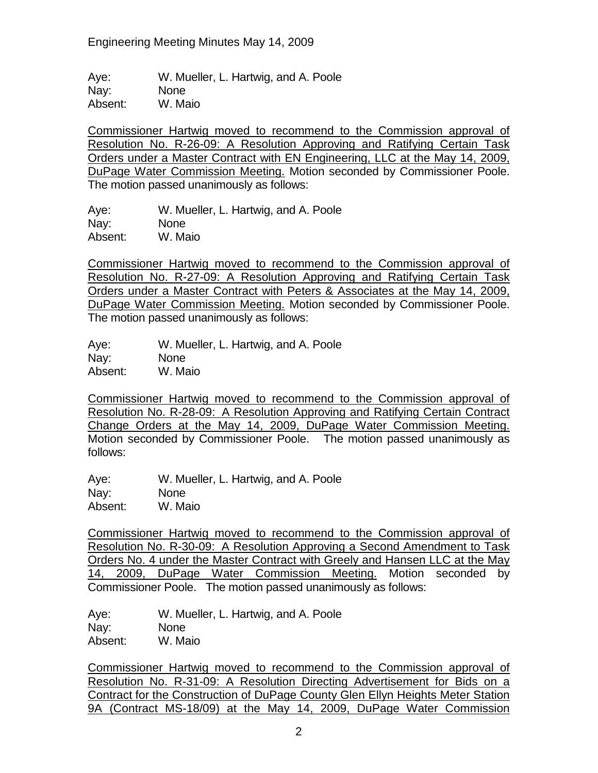Aye: W. Mueller, L. Hartwig, and A. Poole Nay: None Absent: W. Maio

Commissioner Hartwig moved to recommend to the Commission approval of Resolution No. R-26-09: A Resolution Approving and Ratifying Certain Task Orders under a Master Contract with EN Engineering, LLC at the May 14, 2009, DuPage Water Commission Meeting. Motion seconded by Commissioner Poole. The motion passed unanimously as follows:

Aye: W. Mueller, L. Hartwig, and A. Poole Nay: None<br>Absent: W. Maio Absent:

Commissioner Hartwig moved to recommend to the Commission approval of Resolution No. R-27-09: A Resolution Approving and Ratifying Certain Task Orders under a Master Contract with Peters & Associates at the May 14, 2009, DuPage Water Commission Meeting. Motion seconded by Commissioner Poole. The motion passed unanimously as follows:

| Aye:    | W. Mueller, L. Hartwig, and A. Poole |
|---------|--------------------------------------|
| Nay:    | None                                 |
| Absent: | W. Maio                              |

Commissioner Hartwig moved to recommend to the Commission approval of Resolution No. R-28-09: A Resolution Approving and Ratifying Certain Contract Change Orders at the May 14, 2009, DuPage Water Commission Meeting. Motion seconded by Commissioner Poole. The motion passed unanimously as follows:

Aye: W. Mueller, L. Hartwig, and A. Poole Nay: None Absent: W. Maio

Commissioner Hartwig moved to recommend to the Commission approval of Resolution No. R-30-09: A Resolution Approving a Second Amendment to Task Orders No. 4 under the Master Contract with Greely and Hansen LLC at the May 14, 2009, DuPage Water Commission Meeting. Motion seconded by Commissioner Poole. The motion passed unanimously as follows:

Aye: W. Mueller, L. Hartwig, and A. Poole Nay: None Absent: W. Maio

Commissioner Hartwig moved to recommend to the Commission approval of Resolution No. R-31-09: A Resolution Directing Advertisement for Bids on a Contract for the Construction of DuPage County Glen Ellyn Heights Meter Station 9A (Contract MS-18/09) at the May 14, 2009, DuPage Water Commission